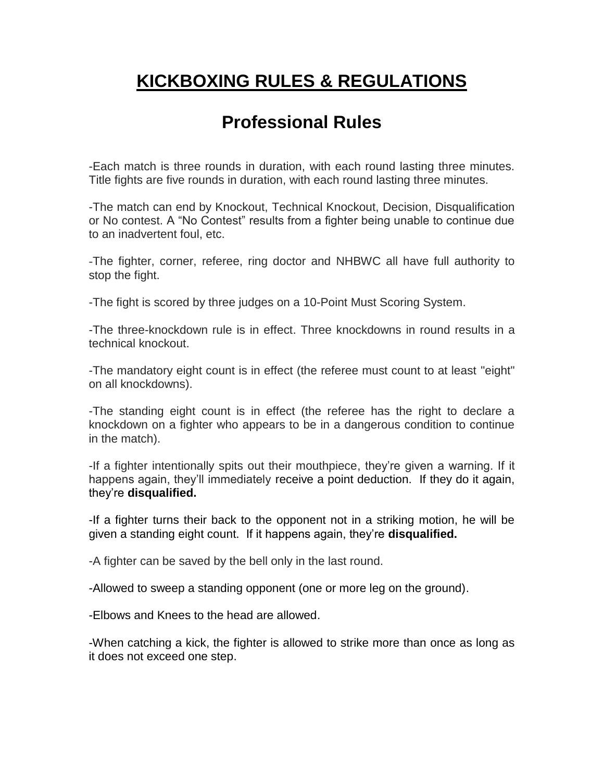# **KICKBOXING RULES & REGULATIONS**

### **Professional Rules**

-Each match is three rounds in duration, with each round lasting three minutes. Title fights are five rounds in duration, with each round lasting three minutes.

-The match can end by Knockout, Technical Knockout, Decision, Disqualification or No contest. A "No Contest" results from a fighter being unable to continue due to an inadvertent foul, etc.

-The fighter, corner, referee, ring doctor and NHBWC all have full authority to stop the fight.

-The fight is scored by three judges on a 10-Point Must Scoring System.

-The three-knockdown rule is in effect. Three knockdowns in round results in a technical knockout.

-The mandatory eight count is in effect (the referee must count to at least "eight" on all knockdowns).

-The standing eight count is in effect (the referee has the right to declare a knockdown on a fighter who appears to be in a dangerous condition to continue in the match).

-If a fighter intentionally spits out their mouthpiece, they're given a warning. If it happens again, they'll immediately receive a point deduction. If they do it again, they're **disqualified.**

-If a fighter turns their back to the opponent not in a striking motion, he will be given a standing eight count. If it happens again, they're **disqualified.**

-A fighter can be saved by the bell only in the last round.

-Allowed to sweep a standing opponent (one or more leg on the ground).

-Elbows and Knees to the head are allowed.

-When catching a kick, the fighter is allowed to strike more than once as long as it does not exceed one step.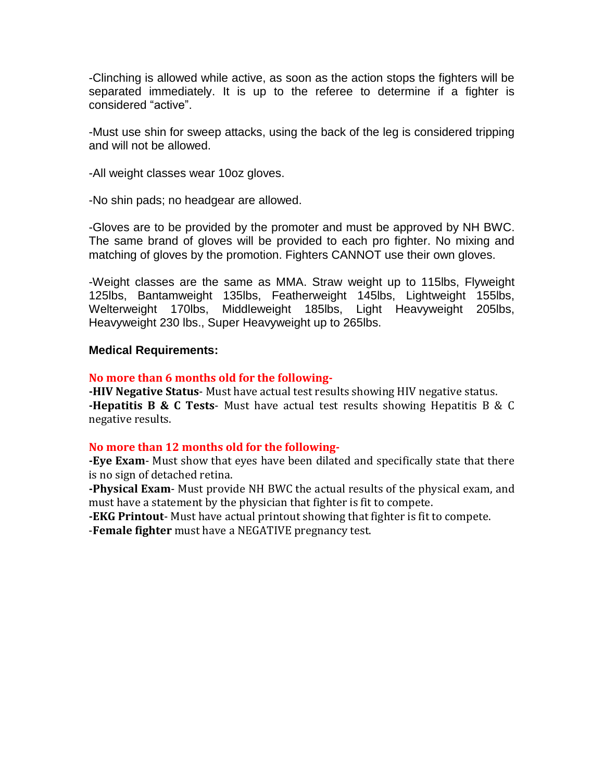-Clinching is allowed while active, as soon as the action stops the fighters will be separated immediately. It is up to the referee to determine if a fighter is considered "active".

-Must use shin for sweep attacks, using the back of the leg is considered tripping and will not be allowed.

-All weight classes wear 10oz gloves.

-No shin pads; no headgear are allowed.

-Gloves are to be provided by the promoter and must be approved by NH BWC. The same brand of gloves will be provided to each pro fighter. No mixing and matching of gloves by the promotion. Fighters CANNOT use their own gloves.

-Weight classes are the same as MMA. Straw weight up to 115lbs, Flyweight 125lbs, Bantamweight 135lbs, Featherweight 145lbs, Lightweight 155lbs, Welterweight 170lbs, Middleweight 185lbs, Light Heavyweight 205lbs, Heavyweight 230 lbs., Super Heavyweight up to 265lbs.

#### **Medical Requirements:**

#### **No more than 6 months old for the following-**

**-HIV Negative Status**- Must have actual test results showing HIV negative status. **-Hepatitis B & C Tests**- Must have actual test results showing Hepatitis B & C negative results.

#### **No more than 12 months old for the following-**

**-Eye Exam**- Must show that eyes have been dilated and specifically state that there is no sign of detached retina.

**-Physical Exam**- Must provide NH BWC the actual results of the physical exam, and must have a statement by the physician that fighter is fit to compete.

**-EKG Printout**- Must have actual printout showing that fighter is fit to compete. -**Female fighter** must have a NEGATIVE pregnancy test.